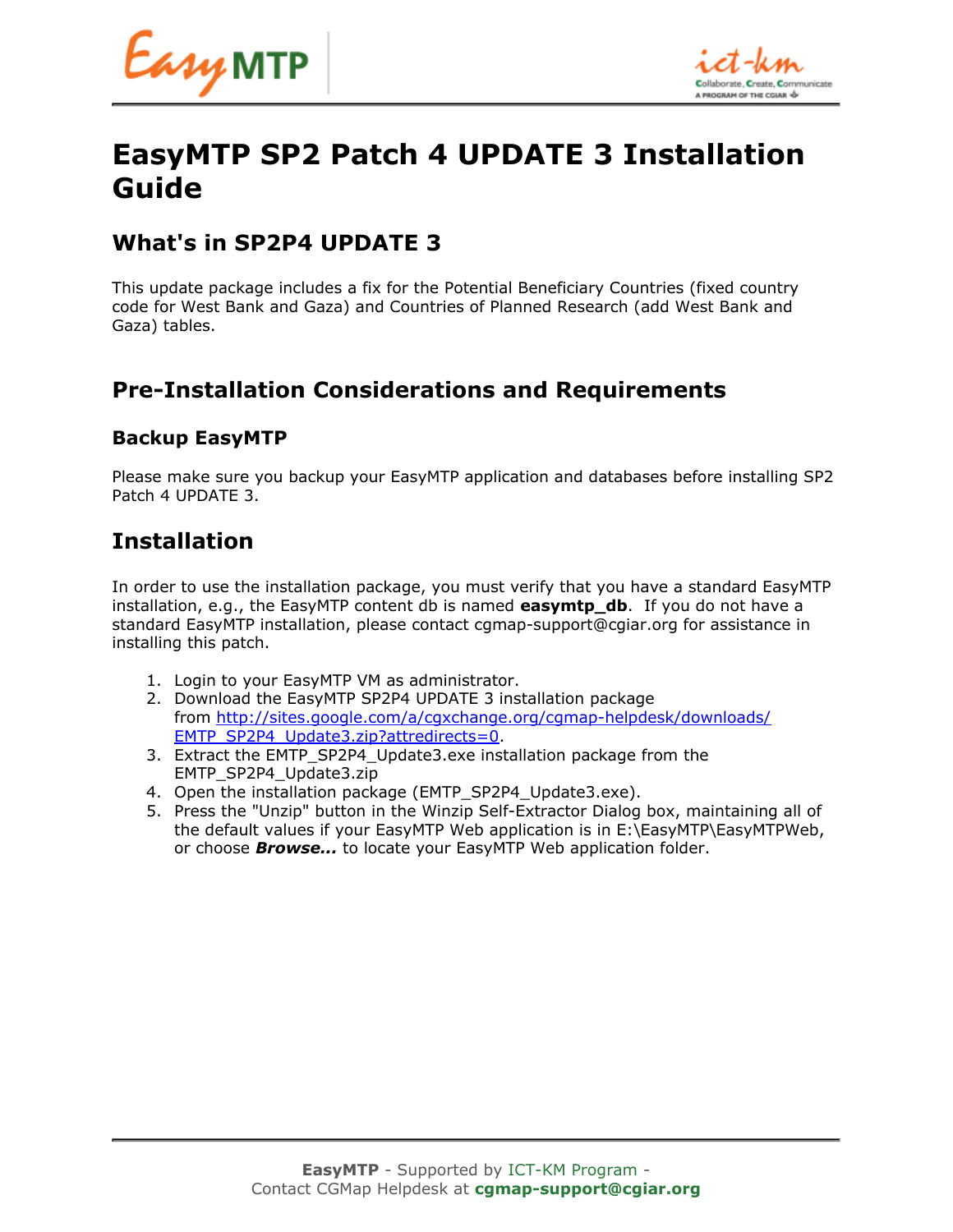

# **EasyMTP SP2 Patch 4 UPDATE 3 Installation Guide**

### **What's in SP2P4 UPDATE 3**

This update package includes a fix for the Potential Beneficiary Countries (fixed country code for West Bank and Gaza) and Countries of Planned Research (add West Bank and Gaza) tables.

## **Pre-Installation Considerations and Requirements**

#### **Backup EasyMTP**

Please make sure you backup your EasyMTP application and databases before installing SP2 Patch 4 UPDATE 3.

### **Installation**

In order to use the installation package, you must verify that you have a standard EasyMTP installation, e.g., the EasyMTP content db is named **easymtp\_db**. If you do not have a standard EasyMTP installation, please contact cgmap-support@cgiar.org for assistance in installing this patch.

- 1. Login to your EasyMTP VM as administrator.
- 2. Download the EasyMTP SP2P4 UPDATE 3 installation package from [http://sites.google.com/a/cgxchange.org/cgmap-helpdesk/downloads/](http://sites.google.com/a/cgxchange.org/cgmap-helpdesk/downloads/EMTP_SP2P4_Update3.zip?attredirects=0) [EMTP\\_SP2P4\\_Update3.zip?attredirects=0.](http://sites.google.com/a/cgxchange.org/cgmap-helpdesk/downloads/EMTP_SP2P4_Update3.zip?attredirects=0)
- 3. Extract the EMTP\_SP2P4\_Update3.exe installation package from the EMTP\_SP2P4\_Update3.zip
- 4. Open the installation package (EMTP\_SP2P4\_Update3.exe).
- 5. Press the "Unzip" button in the Winzip Self-Extractor Dialog box, maintaining all of the default values if your EasyMTP Web application is in E:\EasyMTP\EasyMTPWeb, or choose *Browse...* to locate your EasyMTP Web application folder.